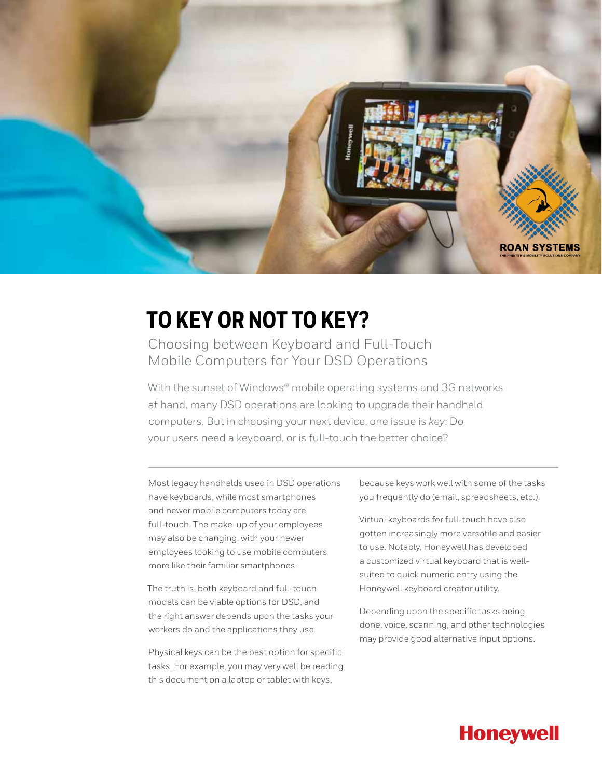

## **TO KEY OR NOT TO KEY?**

Choosing between Keyboard and Full-Touch Mobile Computers for Your DSD Operations

With the sunset of Windows® mobile operating systems and 3G networks at hand, many DSD operations are looking to upgrade their handheld computers. But in choosing your next device, one issue is *key*: Do your users need a keyboard, or is full-touch the better choice?

Most legacy handhelds used in DSD operations have keyboards, while most smartphones and newer mobile computers today are full-touch. The make-up of your employees may also be changing, with your newer employees looking to use mobile computers more like their familiar smartphones.

The truth is, both keyboard and full-touch models can be viable options for DSD, and the right answer depends upon the tasks your workers do and the applications they use.

Physical keys can be the best option for specific tasks. For example, you may very well be reading this document on a laptop or tablet with keys,

because keys work well with some of the tasks you frequently do (email, spreadsheets, etc.).

Virtual keyboards for full-touch have also gotten increasingly more versatile and easier to use. Notably, Honeywell has developed a customized virtual keyboard that is wellsuited to quick numeric entry using the Honeywell keyboard creator utility.

Depending upon the specific tasks being done, voice, scanning, and other technologies may provide good alternative input options.

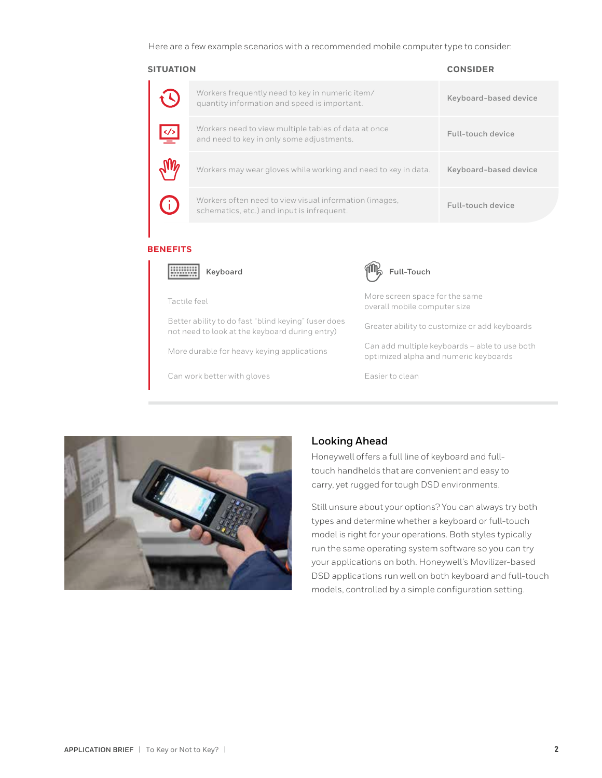Here are a few example scenarios with a recommended mobile computer type to consider:

| <b>SITUATION</b> |                                                                                                      | <b>CONSIDER</b>       |
|------------------|------------------------------------------------------------------------------------------------------|-----------------------|
|                  | Workers frequently need to key in numeric item/<br>quantity information and speed is important.      | Keyboard-based device |
| $\leq$           | Workers need to view multiple tables of data at once<br>and need to key in only some adjustments.    | Full-touch device     |
|                  | Workers may wear gloves while working and need to key in data.                                       | Keyboard-based device |
|                  | Workers often need to view visual information (images,<br>schematics, etc.) and input is infrequent. | Full-touch device     |

## **BENEFITS**



Better ability to do fast "blind keying" (user does not need to look at the keyboard during entry) Greater ability to customize or add keyboards not need to look at the keyboard during entry)

Can work better with gloves Easier to clean



Tactile feel More screen space for the same overall mobile computer size

More durable for heavy keying applications Can add multiple keyboards – able to use both<br>
catimized alpha and numerial subpards optimized alpha and numeric keyboards



## **Looking Ahead**

Honeywell offers a full line of keyboard and fulltouch handhelds that are convenient and easy to carry, yet rugged for tough DSD environments.

Still unsure about your options? You can always try both types and determine whether a keyboard or full-touch model is right for your operations. Both styles typically run the same operating system software so you can try your applications on both. Honeywell's Movilizer-based DSD applications run well on both keyboard and full-touch models, controlled by a simple configuration setting.